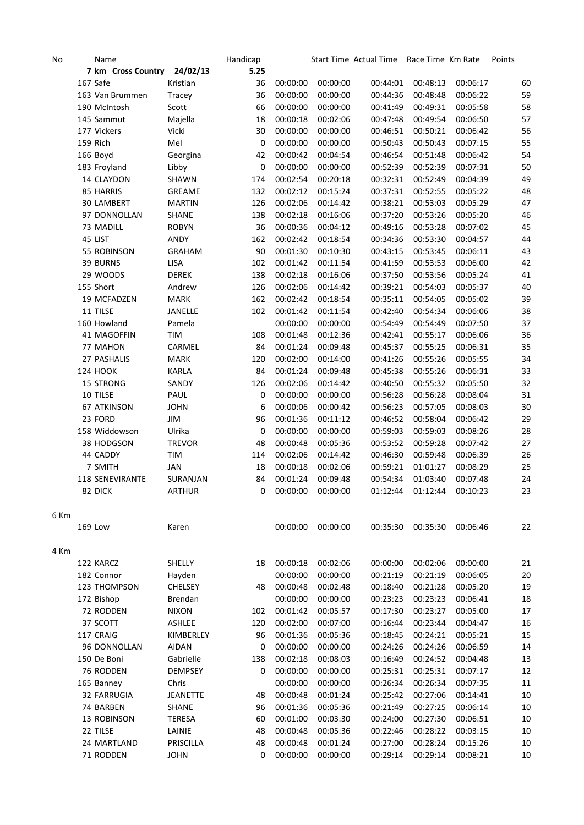| No   | Name                        |                 | Handicap    |          |          | Start Time Actual Time Race Time Km Rate |          |          | Points |
|------|-----------------------------|-----------------|-------------|----------|----------|------------------------------------------|----------|----------|--------|
|      | 7 km Cross Country 24/02/13 |                 | 5.25        |          |          |                                          |          |          |        |
|      | 167 Safe                    | Kristian        | 36          | 00:00:00 | 00:00:00 | 00:44:01                                 | 00:48:13 | 00:06:17 | 60     |
|      | 163 Van Brummen             | Tracey          | 36          | 00:00:00 | 00:00:00 | 00:44:36                                 | 00:48:48 | 00:06:22 | 59     |
|      | 190 McIntosh                | Scott           | 66          | 00:00:00 | 00:00:00 | 00:41:49                                 | 00:49:31 | 00:05:58 | 58     |
|      | 145 Sammut                  | Majella         | 18          | 00:00:18 | 00:02:06 | 00:47:48                                 | 00:49:54 | 00:06:50 | 57     |
|      | 177 Vickers                 | Vicki           | 30          | 00:00:00 | 00:00:00 | 00:46:51                                 | 00:50:21 | 00:06:42 | 56     |
|      | 159 Rich                    | Mel             | $\mathbf 0$ | 00:00:00 | 00:00:00 | 00:50:43                                 | 00:50:43 | 00:07:15 | 55     |
|      | 166 Boyd                    | Georgina        | 42          | 00:00:42 | 00:04:54 | 00:46:54                                 | 00:51:48 | 00:06:42 | 54     |
|      | 183 Froyland                | Libby           | $\mathbf 0$ | 00:00:00 | 00:00:00 | 00:52:39                                 | 00:52:39 | 00:07:31 | 50     |
|      | 14 CLAYDON                  | SHAWN           | 174         | 00:02:54 | 00:20:18 | 00:32:31                                 | 00:52:49 | 00:04:39 | 49     |
|      | 85 HARRIS                   | <b>GREAME</b>   | 132         | 00:02:12 | 00:15:24 | 00:37:31                                 | 00:52:55 | 00:05:22 | 48     |
|      | 30 LAMBERT                  | <b>MARTIN</b>   | 126         | 00:02:06 | 00:14:42 | 00:38:21                                 | 00:53:03 | 00:05:29 | 47     |
|      | 97 DONNOLLAN                | <b>SHANE</b>    | 138         | 00:02:18 | 00:16:06 | 00:37:20                                 | 00:53:26 | 00:05:20 | 46     |
|      | 73 MADILL                   | <b>ROBYN</b>    | 36          | 00:00:36 | 00:04:12 | 00:49:16                                 | 00:53:28 | 00:07:02 | 45     |
|      | 45 LIST                     | ANDY            | 162         | 00:02:42 | 00:18:54 | 00:34:36                                 | 00:53:30 | 00:04:57 | 44     |
|      | 55 ROBINSON                 | <b>GRAHAM</b>   | 90          | 00:01:30 | 00:10:30 | 00:43:15                                 | 00:53:45 | 00:06:11 | 43     |
|      | 39 BURNS                    | LISA            | 102         | 00:01:42 | 00:11:54 | 00:41:59                                 | 00:53:53 | 00:06:00 | 42     |
|      | 29 WOODS                    | <b>DEREK</b>    | 138         | 00:02:18 | 00:16:06 | 00:37:50                                 | 00:53:56 | 00:05:24 | 41     |
|      | 155 Short                   | Andrew          | 126         | 00:02:06 | 00:14:42 | 00:39:21                                 | 00:54:03 | 00:05:37 | 40     |
|      | 19 MCFADZEN                 | <b>MARK</b>     | 162         | 00:02:42 | 00:18:54 | 00:35:11                                 | 00:54:05 | 00:05:02 | 39     |
|      | 11 TILSE                    | JANELLE         | 102         | 00:01:42 | 00:11:54 | 00:42:40                                 | 00:54:34 | 00:06:06 | 38     |
|      | 160 Howland                 | Pamela          |             | 00:00:00 | 00:00:00 | 00:54:49                                 | 00:54:49 | 00:07:50 | 37     |
|      | 41 MAGOFFIN                 | TIM             | 108         | 00:01:48 | 00:12:36 | 00:42:41                                 | 00:55:17 | 00:06:06 | 36     |
|      | 77 MAHON                    | CARMEL          | 84          | 00:01:24 | 00:09:48 | 00:45:37                                 | 00:55:25 | 00:06:31 | 35     |
|      | 27 PASHALIS                 | <b>MARK</b>     | 120         | 00:02:00 | 00:14:00 | 00:41:26                                 | 00:55:26 | 00:05:55 | 34     |
|      | <b>124 HOOK</b>             | KARLA           | 84          | 00:01:24 | 00:09:48 | 00:45:38                                 | 00:55:26 | 00:06:31 | 33     |
|      | 15 STRONG                   | SANDY           | 126         | 00:02:06 | 00:14:42 | 00:40:50                                 | 00:55:32 | 00:05:50 | 32     |
|      | 10 TILSE                    | PAUL            | 0           | 00:00:00 | 00:00:00 | 00:56:28                                 | 00:56:28 | 00:08:04 | 31     |
|      | <b>67 ATKINSON</b>          | <b>JOHN</b>     | 6           | 00:00:06 | 00:00:42 | 00:56:23                                 | 00:57:05 | 00:08:03 | 30     |
|      | 23 FORD                     | JIM             | 96          | 00:01:36 | 00:11:12 | 00:46:52                                 | 00:58:04 | 00:06:42 | 29     |
|      | 158 Widdowson               | Ulrika          | $\mathbf 0$ | 00:00:00 | 00:00:00 | 00:59:03                                 | 00:59:03 | 00:08:26 | 28     |
|      | 38 HODGSON                  | <b>TREVOR</b>   | 48          | 00:00:48 | 00:05:36 | 00:53:52                                 | 00:59:28 | 00:07:42 | 27     |
|      | 44 CADDY                    | TIM             | 114         | 00:02:06 | 00:14:42 | 00:46:30                                 | 00:59:48 | 00:06:39 | 26     |
|      | 7 SMITH                     | JAN             | 18          | 00:00:18 | 00:02:06 | 00:59:21                                 | 01:01:27 | 00:08:29 | 25     |
|      | 118 SENEVIRANTE             | SURANJAN        | 84          | 00:01:24 | 00:09:48 | 00:54:34                                 | 01:03:40 | 00:07:48 | 24     |
|      | 82 DICK                     | <b>ARTHUR</b>   | 0           | 00:00:00 | 00:00:00 | 01:12:44                                 | 01:12:44 | 00:10:23 | 23     |
|      |                             |                 |             |          |          |                                          |          |          |        |
| 6 Km |                             |                 |             |          |          |                                          |          |          |        |
|      | <b>169 Low</b>              | Karen           |             | 00:00:00 | 00:00:00 | 00:35:30                                 | 00:35:30 | 00:06:46 | 22     |
| 4 Km |                             |                 |             |          |          |                                          |          |          |        |
|      | 122 KARCZ                   | SHELLY          | 18          | 00:00:18 | 00:02:06 | 00:00:00                                 | 00:02:06 | 00:00:00 | 21     |
|      | 182 Connor                  | Hayden          |             | 00:00:00 | 00:00:00 | 00:21:19                                 | 00:21:19 | 00:06:05 | 20     |
|      | 123 THOMPSON                | <b>CHELSEY</b>  | 48          | 00:00:48 | 00:02:48 | 00:18:40                                 | 00:21:28 | 00:05:20 | 19     |
|      | 172 Bishop                  | Brendan         |             | 00:00:00 | 00:00:00 | 00:23:23                                 | 00:23:23 | 00:06:41 | 18     |
|      | 72 RODDEN                   | <b>NIXON</b>    | 102         | 00:01:42 | 00:05:57 | 00:17:30                                 | 00:23:27 | 00:05:00 | 17     |
|      | 37 SCOTT                    | ASHLEE          | 120         | 00:02:00 | 00:07:00 | 00:16:44                                 | 00:23:44 | 00:04:47 | 16     |
|      | 117 CRAIG                   | KIMBERLEY       | 96          | 00:01:36 | 00:05:36 | 00:18:45                                 | 00:24:21 | 00:05:21 | 15     |
|      | 96 DONNOLLAN                | AIDAN           | 0           | 00:00:00 | 00:00:00 | 00:24:26                                 | 00:24:26 | 00:06:59 | 14     |
|      | 150 De Boni                 | Gabrielle       | 138         | 00:02:18 | 00:08:03 | 00:16:49                                 | 00:24:52 | 00:04:48 | 13     |
|      | 76 RODDEN                   | <b>DEMPSEY</b>  | 0           | 00:00:00 | 00:00:00 | 00:25:31                                 | 00:25:31 | 00:07:17 | 12     |
|      | 165 Banney                  | Chris           |             | 00:00:00 | 00:00:00 | 00:26:34                                 | 00:26:34 | 00:07:35 | 11     |
|      | 32 FARRUGIA                 | <b>JEANETTE</b> | 48          | 00:00:48 | 00:01:24 | 00:25:42                                 | 00:27:06 | 00:14:41 | 10     |
|      | 74 BARBEN                   | <b>SHANE</b>    | 96          | 00:01:36 | 00:05:36 | 00:21:49                                 | 00:27:25 | 00:06:14 | 10     |
|      | 13 ROBINSON                 | <b>TERESA</b>   | 60          | 00:01:00 | 00:03:30 | 00:24:00                                 | 00:27:30 | 00:06:51 | 10     |
|      | 22 TILSE                    | LAINIE          | 48          | 00:00:48 | 00:05:36 | 00:22:46                                 | 00:28:22 | 00:03:15 | 10     |
|      | 24 MARTLAND                 | PRISCILLA       | 48          | 00:00:48 | 00:01:24 | 00:27:00                                 | 00:28:24 | 00:15:26 | 10     |
|      | 71 RODDEN                   | <b>JOHN</b>     | 0           | 00:00:00 | 00:00:00 | 00:29:14                                 | 00:29:14 | 00:08:21 | 10     |
|      |                             |                 |             |          |          |                                          |          |          |        |